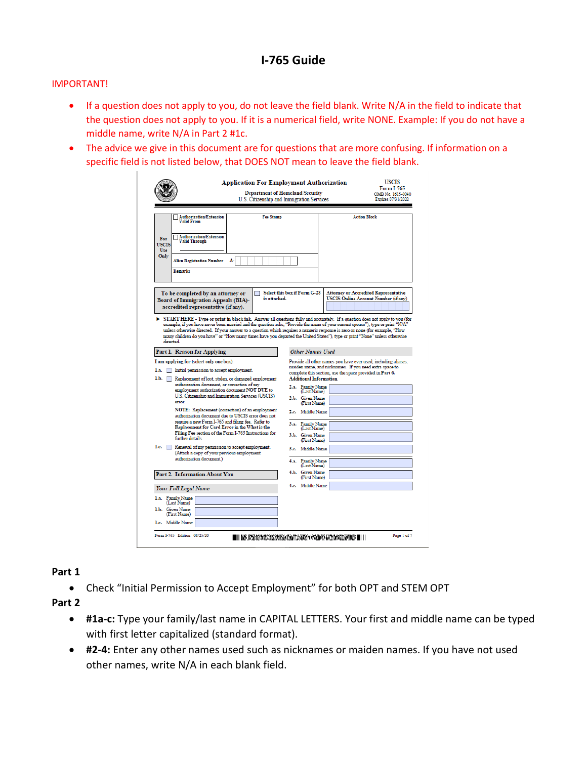## **I-765 Guide**

## IMPORTANT!

- If a question does not apply to you, do not leave the field blank. Write N/A in the field to indicate that the question does not apply to you. If it is a numerical field, write NONE. Example: If you do not have a middle name, write N/A in Part 2 #1c.
- The advice we give in this document are for questions that are more confusing. If information on a specific field is not listed below, that DOES NOT mean to leave the field blank.

|                                                                                                                                                                                                                                                                                                                                                                                                          | <b>Application For Employment Authorization</b><br><b>Department of Homeland Security</b><br>U.S. Citizenship and Immigration Services |  |                                                                  |                                                                                                                                                                                      | <b>USCIS</b><br>Form I-765<br>OMB No. 1615-0040<br>Expires 07/31/2022                       |
|----------------------------------------------------------------------------------------------------------------------------------------------------------------------------------------------------------------------------------------------------------------------------------------------------------------------------------------------------------------------------------------------------------|----------------------------------------------------------------------------------------------------------------------------------------|--|------------------------------------------------------------------|--------------------------------------------------------------------------------------------------------------------------------------------------------------------------------------|---------------------------------------------------------------------------------------------|
| <b>Authorization/Extension</b><br><b>Valid From</b><br><b>Authorization/Extension</b><br>For<br>Valid Through<br><b>USCIS</b>                                                                                                                                                                                                                                                                            | <b>Fee Stamp</b>                                                                                                                       |  |                                                                  | <b>Action Block</b>                                                                                                                                                                  |                                                                                             |
| Use<br>Only<br>A-<br><b>Alien Registration Number</b><br>Remarks                                                                                                                                                                                                                                                                                                                                         |                                                                                                                                        |  |                                                                  |                                                                                                                                                                                      |                                                                                             |
| To be completed by an attorney or<br><b>Board of Immigration Appeals (BIA)-</b><br>accredited representative (if any).<br>START HERE - Type or print in black ink. Answer all questions fully and accurately. If a question does not apply to you (for                                                                                                                                                   | is attached.                                                                                                                           |  | Select this box if Form G-28                                     |                                                                                                                                                                                      | <b>Attorney or Accredited Representative</b><br><b>USCIS Online Account Number (if any)</b> |
| example, if you have never been married and the question asks, "Provide the name of your current spouse"), type or print "N/A"<br>unless otherwise directed. If your answer to a question which requires a numeric response is zero or none (for example, "How<br>many children do you have" or "How many times have you departed the United States"), type or print "None" unless otherwise<br>directed |                                                                                                                                        |  |                                                                  |                                                                                                                                                                                      |                                                                                             |
| Part 1. Reason for Applying                                                                                                                                                                                                                                                                                                                                                                              |                                                                                                                                        |  | <b>Other Names Used</b>                                          |                                                                                                                                                                                      |                                                                                             |
| I am applying for (select only one box):<br>1.a. Initial permission to accept employment.<br>1.b. Replacement of lost, stolen, or damaged employment<br>authorization document, or correction of my<br>employment authorization document NOT DUE to                                                                                                                                                      |                                                                                                                                        |  | <b>Additional Information</b><br>2.a. Family Name<br>(Last Name) | Provide all other names you have ever used, including aliases,<br>maiden name, and nicknames. If you need extra space to<br>complete this section, use the space provided in Part 6. |                                                                                             |
| U.S. Citizenship and Immigration Services (USCIS)<br>error.<br>NOTE: Replacement (correction) of an employment                                                                                                                                                                                                                                                                                           |                                                                                                                                        |  | 2.b. Given Name<br>(First Name)<br>2.c. Middle Name              |                                                                                                                                                                                      |                                                                                             |
| require a new Form I-765 and filing fee. Refer to                                                                                                                                                                                                                                                                                                                                                        | authorization document due to USCIS error does not                                                                                     |  | 3.a. Family Name                                                 |                                                                                                                                                                                      |                                                                                             |
| Replacement for Card Error in the What is the<br>further details.                                                                                                                                                                                                                                                                                                                                        | Filing Fee section of the Form I-765 Instructions for                                                                                  |  | (Last Name)<br>3.b. Given Name<br>(First Name)                   |                                                                                                                                                                                      |                                                                                             |
| 1.c. Renewal of my permission to accept employment.<br>(Attach a copy of your previous employment                                                                                                                                                                                                                                                                                                        |                                                                                                                                        |  | 3.c. Middle Name                                                 |                                                                                                                                                                                      |                                                                                             |
| authorization document.)                                                                                                                                                                                                                                                                                                                                                                                 |                                                                                                                                        |  | 4.a. Family Name<br>(Last Name)                                  |                                                                                                                                                                                      |                                                                                             |
| Part 2. Information About You                                                                                                                                                                                                                                                                                                                                                                            |                                                                                                                                        |  | 4.b. Given Name<br>(First Name)                                  |                                                                                                                                                                                      |                                                                                             |
| <b>Your Full Legal Name</b>                                                                                                                                                                                                                                                                                                                                                                              |                                                                                                                                        |  | 4.c. Middle Name                                                 |                                                                                                                                                                                      |                                                                                             |
| 1.a. Family Name<br>(Last Name)                                                                                                                                                                                                                                                                                                                                                                          |                                                                                                                                        |  |                                                                  |                                                                                                                                                                                      |                                                                                             |
| 1.b. Given Name<br>(First Name)                                                                                                                                                                                                                                                                                                                                                                          |                                                                                                                                        |  |                                                                  |                                                                                                                                                                                      |                                                                                             |
| 1.c. Middle Name                                                                                                                                                                                                                                                                                                                                                                                         |                                                                                                                                        |  |                                                                  |                                                                                                                                                                                      |                                                                                             |
| Form I-765 Edition 08/25/20                                                                                                                                                                                                                                                                                                                                                                              | IIII NS KRANARISKOS KAATAKKAN AKTRANTAAN MILIT                                                                                         |  |                                                                  |                                                                                                                                                                                      | Page 1 of 7                                                                                 |

## **Part 1**

• Check "Initial Permission to Accept Employment" for both OPT and STEM OPT

**Part 2**

- **#1a-c:** Type your family/last name in CAPITAL LETTERS. Your first and middle name can be typed with first letter capitalized (standard format).
- **#2-4:** Enter any other names used such as nicknames or maiden names. If you have not used other names, write N/A in each blank field.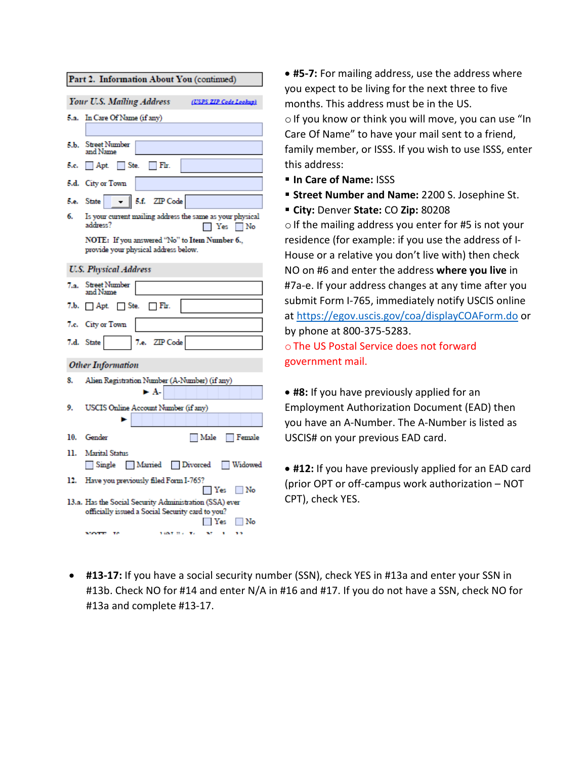| Part 2. Information About You (continued)           |                                                                                                                      |  |  |  |  |
|-----------------------------------------------------|----------------------------------------------------------------------------------------------------------------------|--|--|--|--|
| Your U.S. Mailing Address<br>(USPS ZIP Code Lookup) |                                                                                                                      |  |  |  |  |
| 5.а.                                                | In Care Of Name (if any)                                                                                             |  |  |  |  |
|                                                     |                                                                                                                      |  |  |  |  |
| 5.Ь.                                                | <b>Street Number</b><br>and Name                                                                                     |  |  |  |  |
| 5.c.                                                | Ste.<br>$\Box$ Fir.<br>$ $ Apt.                                                                                      |  |  |  |  |
|                                                     | 5.d. City or Town                                                                                                    |  |  |  |  |
| 5.e.                                                | $\parallel$ 5.f. ZIP Code<br>State                                                                                   |  |  |  |  |
| 6.                                                  | Is your current mailing address the same as your physical<br>address?<br>⊤Yes ∏No                                    |  |  |  |  |
|                                                     | NOTE: If you answered "No" to Item Number 6.,<br>provide your physical address below.                                |  |  |  |  |
| <b>U.S. Physical Address</b>                        |                                                                                                                      |  |  |  |  |
| 7.а.                                                | <b>Street Number</b><br>and Name                                                                                     |  |  |  |  |
| 7љ.                                                 | $\Box$ Apt.<br>$\Box$ Ste.<br>$\Box$ Fir.                                                                            |  |  |  |  |
|                                                     | 7.c. City or Town                                                                                                    |  |  |  |  |
|                                                     | 7.e. ZIP Code<br>7.d. State                                                                                          |  |  |  |  |
| <b>Other Information</b>                            |                                                                                                                      |  |  |  |  |
| 8.                                                  | Alien Registration Number (A-Number) (if any)                                                                        |  |  |  |  |
|                                                     | ► A-                                                                                                                 |  |  |  |  |
| 9.                                                  | USCIS Online Account Number (if any)                                                                                 |  |  |  |  |
| 10.                                                 | Gender<br>Male<br>Female                                                                                             |  |  |  |  |
| 11.                                                 | <b>Marital Status</b>                                                                                                |  |  |  |  |
|                                                     | Single<br>Married<br>Divorced<br>Widowed                                                                             |  |  |  |  |
| 12.                                                 | Have you previously filed Form I-765?<br>I Yes<br>∣ No                                                               |  |  |  |  |
|                                                     | 13.a. Has the Social Security Administration (SSA) ever<br>officially issued a Social Security card to you?<br>No No |  |  |  |  |
|                                                     | <b>SIGNER MOVEMENT</b><br>. .                                                                                        |  |  |  |  |

• **#5-7:** For mailing address, use the address where you expect to be living for the next three to five months. This address must be in the US.  $\circ$  If you know or think you will move, you can use "In Care Of Name" to have your mail sent to a friend, family member, or ISSS. If you wish to use ISSS, enter this address:

- **In Care of Name:** ISSS
- **Street Number and Name:** 2200 S. Josephine St.
- **City:** Denver **State:** CO **Zip:** 80208

 $\circ$  If the mailing address you enter for #5 is not your residence (for example: if you use the address of I-House or a relative you don't live with) then check NO on #6 and enter the address **where you live** in #7a-e. If your address changes at any time after you submit Form I-765, immediately notify USCIS online at<https://egov.uscis.gov/coa/displayCOAForm.do> or by phone at 800-375-5283. oThe US Postal Service does not forward

government mail.

• **#8:** If you have previously applied for an Employment Authorization Document (EAD) then you have an A-Number. The A-Number is listed as USCIS# on your previous EAD card.

• **#12:** If you have previously applied for an EAD card (prior OPT or off-campus work authorization – NOT CPT), check YES.

• **#13-17:** If you have a social security number (SSN), check YES in #13a and enter your SSN in #13b. Check NO for #14 and enter N/A in #16 and #17. If you do not have a SSN, check NO for #13a and complete #13-17.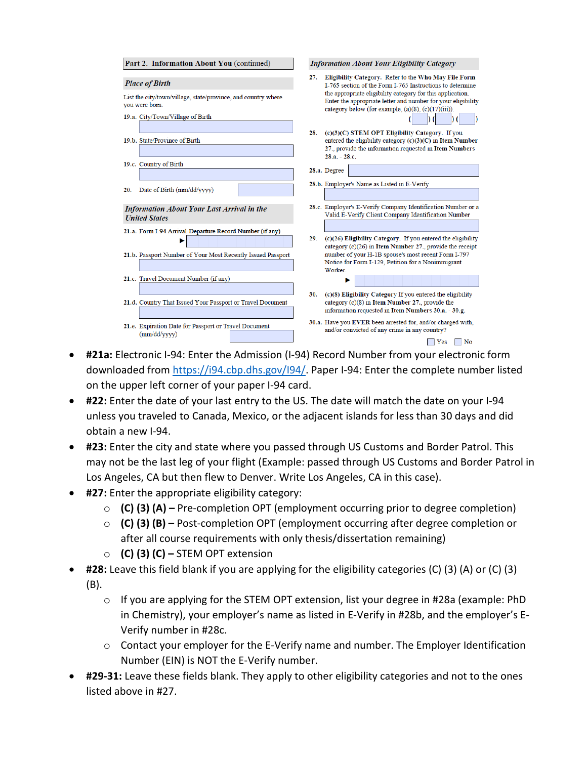| Part 2. Information About You (continued)                                                                                                    | <b>Information About Your Eligibility Category</b>                                                                                                                                                                                                                                                                  |  |  |
|----------------------------------------------------------------------------------------------------------------------------------------------|---------------------------------------------------------------------------------------------------------------------------------------------------------------------------------------------------------------------------------------------------------------------------------------------------------------------|--|--|
| <b>Place of Birth</b><br>List the city/town/village, state/province, and country where<br>vou were born.<br>19.a. City/Town/Village of Birth | Eligibility Category. Refer to the Who May File Form<br>27.<br>I-765 section of the Form I-765 Instructions to determine<br>the appropriate eligibility category for this application.<br>Enter the appropriate letter and number for your eligibility<br>category below (for example, $(a)(8)$ , $(c)(17)(iii)$ ). |  |  |
| 19.b. State/Province of Birth                                                                                                                | (c)(3)(C) STEM OPT Eligibility Category. If you<br>28.<br>entered the eligibility category (c)(3)(C) in Item Number<br>27., provide the information requested in Item Numbers<br>$28.a. - 28.c.$                                                                                                                    |  |  |
| 19.c. Country of Birth                                                                                                                       | 28.a. Degree                                                                                                                                                                                                                                                                                                        |  |  |
| Date of Birth (mm/dd/yyyy)<br>20.                                                                                                            | 28.b. Employer's Name as Listed in E-Verify                                                                                                                                                                                                                                                                         |  |  |
| <b>Information About Your Last Arrival in the</b><br><b>United States</b>                                                                    | 28.c. Employer's E-Verify Company Identification Number or a<br>Valid E-Verify Client Company Identification Number                                                                                                                                                                                                 |  |  |
| 21.a. Form I-94 Arrival-Departure Record Number (if any)<br>21.b. Passport Number of Your Most Recently Issued Passport                      | (c)(26) Eligibility Category. If you entered the eligibility<br>29.<br>category $(c)(26)$ in Item Number 27., provide the receipt<br>number of your H-1B spouse's most recent Form I-797<br>Notice for Form I-129, Petition for a Nonimmigrant                                                                      |  |  |
| 21.c. Travel Document Number (if any)                                                                                                        | Worker.                                                                                                                                                                                                                                                                                                             |  |  |
| 21.d. Country That Issued Your Passport or Travel Document                                                                                   | (c)(8) Eligibility Category If you entered the eligibility<br>30.<br>category (c)(8) in Item Number 27., provide the<br>information requested in Item Numbers 30.a. - 30.g.                                                                                                                                         |  |  |
| 21.e. Expiration Date for Passport or Travel Document<br>(mm/dd/vyyy)                                                                        | 30.a. Have you EVER been arrested for, and/or charged with,<br>and/or convicted of any crime in any country?<br>Yes<br>No                                                                                                                                                                                           |  |  |

- **#21a:** Electronic I-94: Enter the Admission (I-94) Record Number from your electronic form downloaded from [https://i94.cbp.dhs.gov/I94/.](https://i94.cbp.dhs.gov/I94/) Paper I-94: Enter the complete number listed on the upper left corner of your paper I-94 card.
- **#22:** Enter the date of your last entry to the US. The date will match the date on your I-94 unless you traveled to Canada, Mexico, or the adjacent islands for less than 30 days and did obtain a new I-94.
- **#23:** Enter the city and state where you passed through US Customs and Border Patrol. This may not be the last leg of your flight (Example: passed through US Customs and Border Patrol in Los Angeles, CA but then flew to Denver. Write Los Angeles, CA in this case).
- **#27:** Enter the appropriate eligibility category:
	- o **(C) (3) (A) –** Pre-completion OPT (employment occurring prior to degree completion)
	- o **(C) (3) (B) –** Post-completion OPT (employment occurring after degree completion or after all course requirements with only thesis/dissertation remaining)
	- o **(C) (3) (C) –** STEM OPT extension
- **#28:** Leave this field blank if you are applying for the eligibility categories (C) (3) (A) or (C) (3) (B).
	- o If you are applying for the STEM OPT extension, list your degree in #28a (example: PhD in Chemistry), your employer's name as listed in E-Verify in #28b, and the employer's E-Verify number in #28c.
	- $\circ$  Contact your employer for the E-Verify name and number. The Employer Identification Number (EIN) is NOT the E-Verify number.
- **#29-31:** Leave these fields blank. They apply to other eligibility categories and not to the ones listed above in #27.